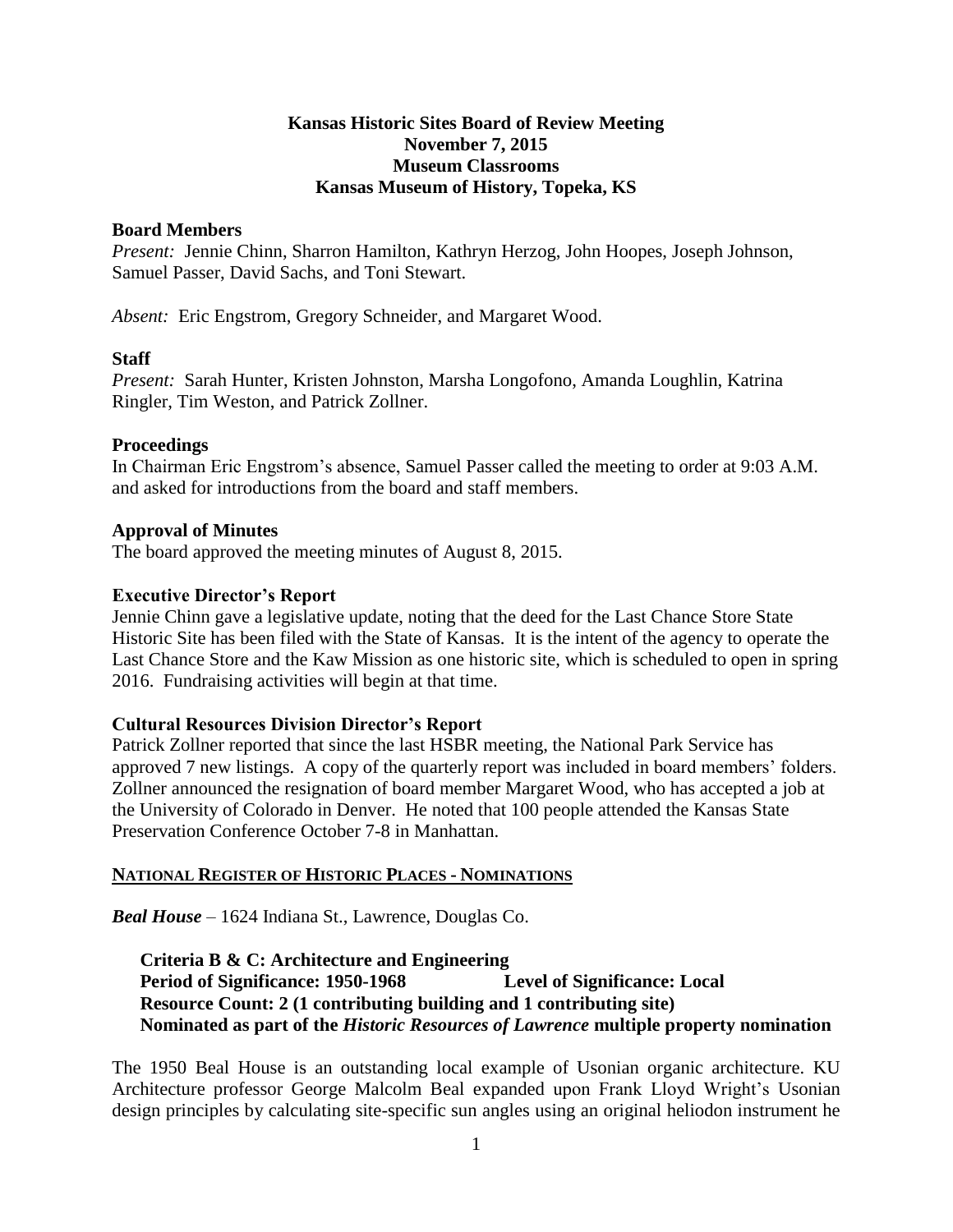## **Kansas Historic Sites Board of Review Meeting November 7, 2015 Museum Classrooms Kansas Museum of History, Topeka, KS**

#### **Board Members**

*Present:* Jennie Chinn, Sharron Hamilton, Kathryn Herzog, John Hoopes, Joseph Johnson, Samuel Passer, David Sachs, and Toni Stewart.

*Absent:* Eric Engstrom, Gregory Schneider, and Margaret Wood.

## **Staff**

*Present:* Sarah Hunter, Kristen Johnston, Marsha Longofono, Amanda Loughlin, Katrina Ringler, Tim Weston, and Patrick Zollner.

#### **Proceedings**

In Chairman Eric Engstrom's absence, Samuel Passer called the meeting to order at 9:03 A.M. and asked for introductions from the board and staff members.

#### **Approval of Minutes**

The board approved the meeting minutes of August 8, 2015.

## **Executive Director's Report**

Jennie Chinn gave a legislative update, noting that the deed for the Last Chance Store State Historic Site has been filed with the State of Kansas. It is the intent of the agency to operate the Last Chance Store and the Kaw Mission as one historic site, which is scheduled to open in spring 2016. Fundraising activities will begin at that time.

## **Cultural Resources Division Director's Report**

Patrick Zollner reported that since the last HSBR meeting, the National Park Service has approved 7 new listings. A copy of the quarterly report was included in board members' folders. Zollner announced the resignation of board member Margaret Wood, who has accepted a job at the University of Colorado in Denver. He noted that 100 people attended the Kansas State Preservation Conference October 7-8 in Manhattan.

## **NATIONAL REGISTER OF HISTORIC PLACES - NOMINATIONS**

*Beal House* – 1624 Indiana St., Lawrence, Douglas Co.

# **Criteria B & C: Architecture and Engineering Period of Significance: 1950-1968 Level of Significance: Local Resource Count: 2 (1 contributing building and 1 contributing site) Nominated as part of the** *Historic Resources of Lawrence* **multiple property nomination**

The 1950 Beal House is an outstanding local example of Usonian organic architecture. KU Architecture professor George Malcolm Beal expanded upon Frank Lloyd Wright's Usonian design principles by calculating site-specific sun angles using an original heliodon instrument he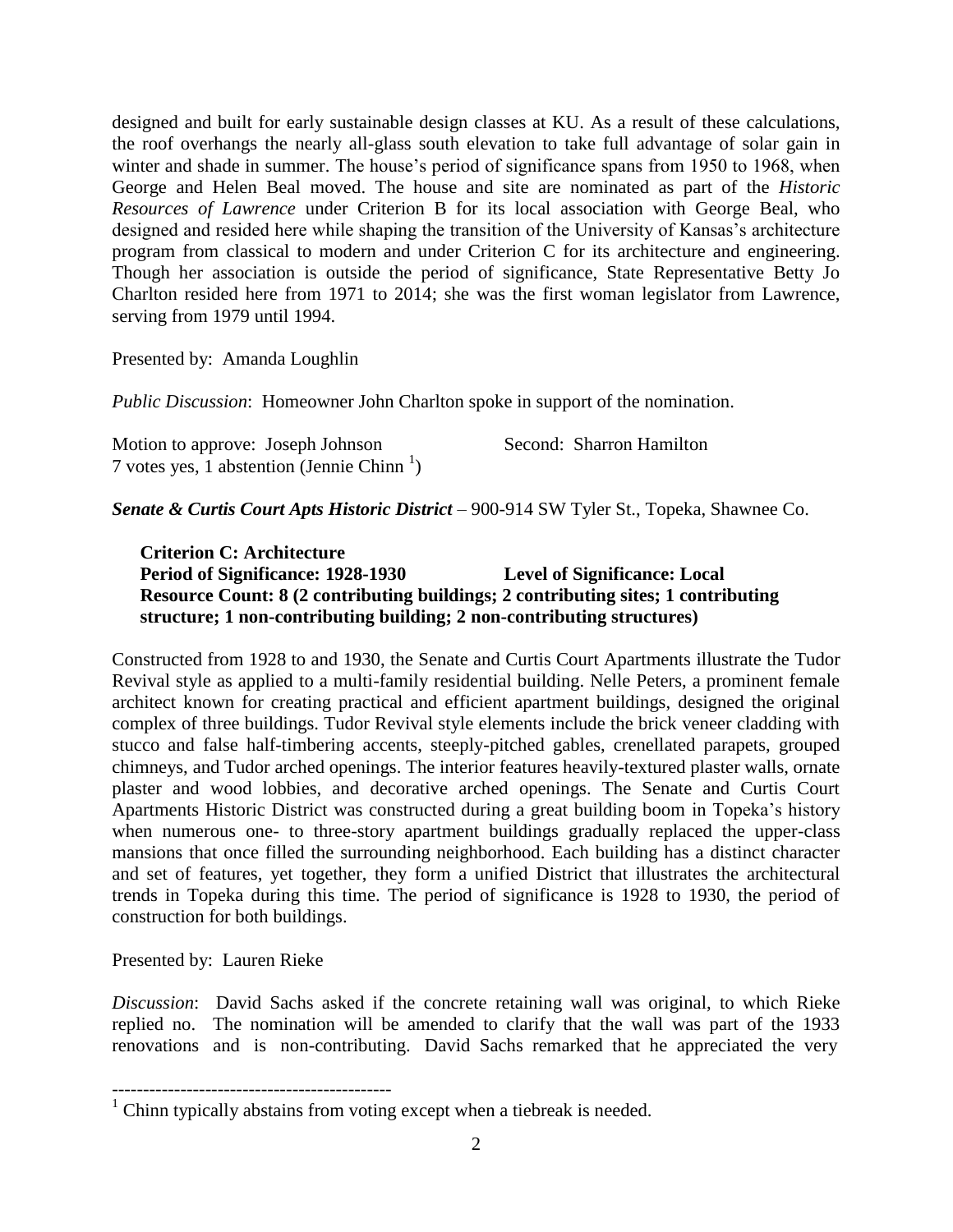designed and built for early sustainable design classes at KU. As a result of these calculations, the roof overhangs the nearly all-glass south elevation to take full advantage of solar gain in winter and shade in summer. The house's period of significance spans from 1950 to 1968, when George and Helen Beal moved. The house and site are nominated as part of the *Historic Resources of Lawrence* under Criterion B for its local association with George Beal, who designed and resided here while shaping the transition of the University of Kansas's architecture program from classical to modern and under Criterion C for its architecture and engineering. Though her association is outside the period of significance, State Representative Betty Jo Charlton resided here from 1971 to 2014; she was the first woman legislator from Lawrence, serving from 1979 until 1994.

Presented by: Amanda Loughlin

*Public Discussion*: Homeowner John Charlton spoke in support of the nomination.

| Motion to approve: Joseph Johnson                       | Second: Sharron Hamilton |
|---------------------------------------------------------|--------------------------|
| 7 votes yes, 1 abstention (Jennie Chinn $\frac{1}{2}$ ) |                          |

*Senate & Curtis Court Apts Historic District* – 900-914 SW Tyler St., Topeka, Shawnee Co.

**Criterion C: Architecture Period of Significance: 1928-1930 Level of Significance: Local Resource Count: 8 (2 contributing buildings; 2 contributing sites; 1 contributing structure; 1 non-contributing building; 2 non-contributing structures)**

Constructed from 1928 to and 1930, the Senate and Curtis Court Apartments illustrate the Tudor Revival style as applied to a multi-family residential building. Nelle Peters, a prominent female architect known for creating practical and efficient apartment buildings, designed the original complex of three buildings. Tudor Revival style elements include the brick veneer cladding with stucco and false half-timbering accents, steeply-pitched gables, crenellated parapets, grouped chimneys, and Tudor arched openings. The interior features heavily-textured plaster walls, ornate plaster and wood lobbies, and decorative arched openings. The Senate and Curtis Court Apartments Historic District was constructed during a great building boom in Topeka's history when numerous one- to three-story apartment buildings gradually replaced the upper-class mansions that once filled the surrounding neighborhood. Each building has a distinct character and set of features, yet together, they form a unified District that illustrates the architectural trends in Topeka during this time. The period of significance is 1928 to 1930, the period of construction for both buildings.

Presented by: Lauren Rieke

---------------------------------------------

*Discussion*: David Sachs asked if the concrete retaining wall was original, to which Rieke replied no. The nomination will be amended to clarify that the wall was part of the 1933 renovations and is non-contributing. David Sachs remarked that he appreciated the very

 $1$  Chinn typically abstains from voting except when a tiebreak is needed.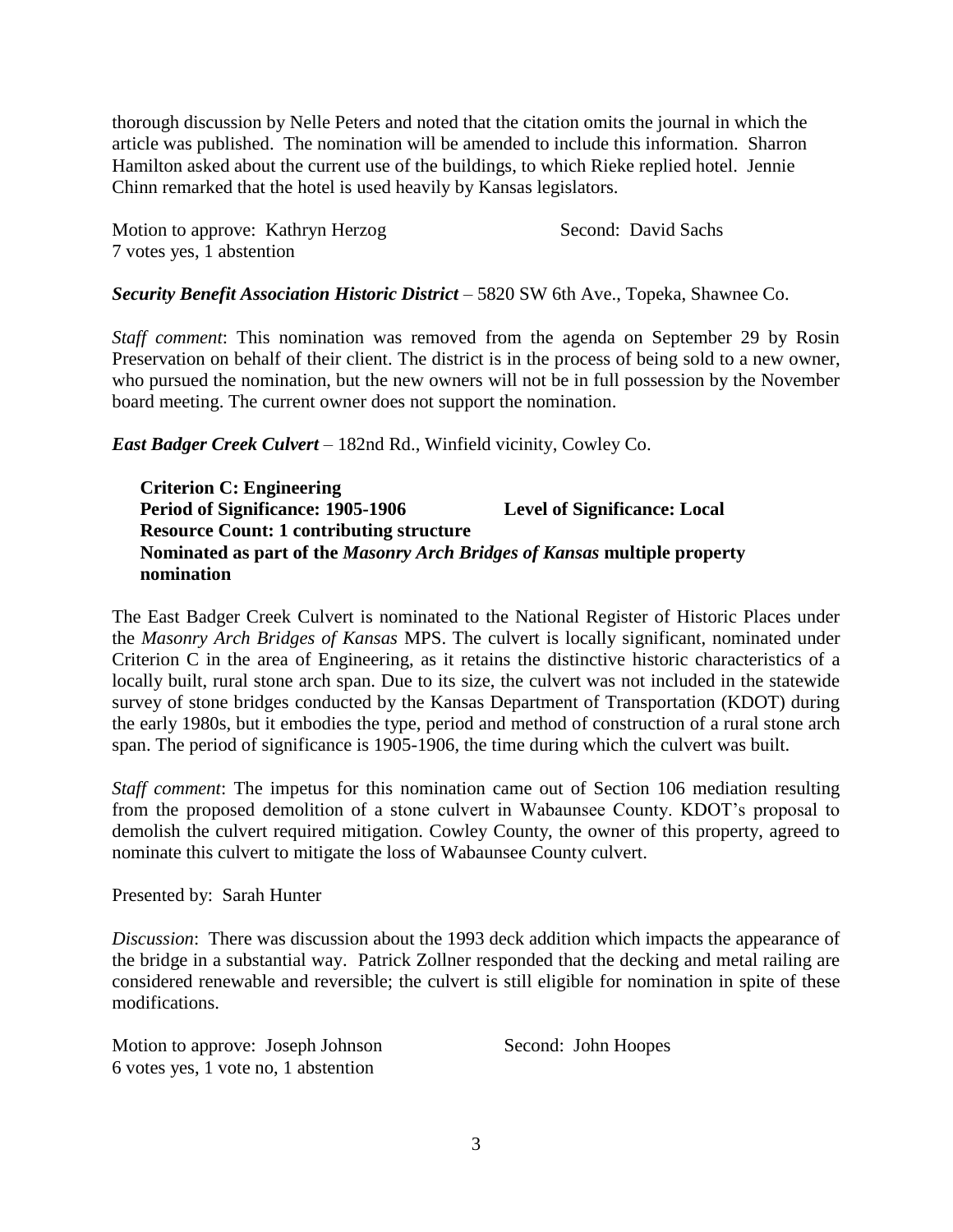thorough discussion by Nelle Peters and noted that the citation omits the journal in which the article was published. The nomination will be amended to include this information. Sharron Hamilton asked about the current use of the buildings, to which Rieke replied hotel. Jennie Chinn remarked that the hotel is used heavily by Kansas legislators.

Motion to approve: Kathryn Herzog Second: David Sachs 7 votes yes, 1 abstention

*Security Benefit Association Historic District* – 5820 SW 6th Ave., Topeka, Shawnee Co.

*Staff comment*: This nomination was removed from the agenda on September 29 by Rosin Preservation on behalf of their client. The district is in the process of being sold to a new owner, who pursued the nomination, but the new owners will not be in full possession by the November board meeting. The current owner does not support the nomination.

*East Badger Creek Culvert* – 182nd Rd., Winfield vicinity, Cowley Co.

**Criterion C: Engineering Period of Significance: 1905-1906 Level of Significance: Local Resource Count: 1 contributing structure Nominated as part of the** *Masonry Arch Bridges of Kansas* **multiple property nomination**

The East Badger Creek Culvert is nominated to the National Register of Historic Places under the *Masonry Arch Bridges of Kansas* MPS. The culvert is locally significant, nominated under Criterion C in the area of Engineering, as it retains the distinctive historic characteristics of a locally built, rural stone arch span. Due to its size, the culvert was not included in the statewide survey of stone bridges conducted by the Kansas Department of Transportation (KDOT) during the early 1980s, but it embodies the type, period and method of construction of a rural stone arch span. The period of significance is 1905-1906, the time during which the culvert was built.

*Staff comment*: The impetus for this nomination came out of Section 106 mediation resulting from the proposed demolition of a stone culvert in Wabaunsee County. KDOT's proposal to demolish the culvert required mitigation. Cowley County, the owner of this property, agreed to nominate this culvert to mitigate the loss of Wabaunsee County culvert.

Presented by: Sarah Hunter

*Discussion*: There was discussion about the 1993 deck addition which impacts the appearance of the bridge in a substantial way. Patrick Zollner responded that the decking and metal railing are considered renewable and reversible; the culvert is still eligible for nomination in spite of these modifications.

Motion to approve: Joseph Johnson Second: John Hoopes 6 votes yes, 1 vote no, 1 abstention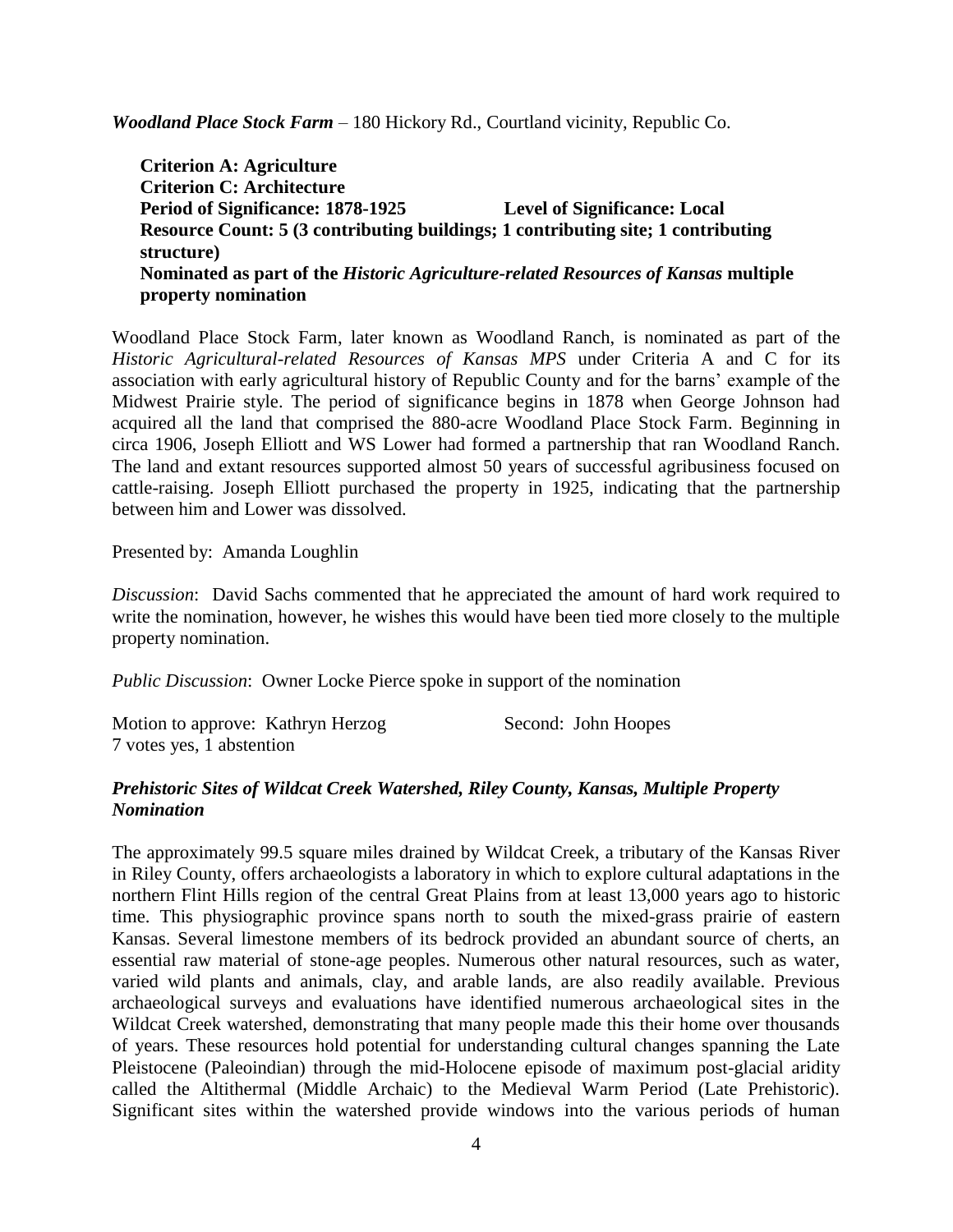*Woodland Place Stock Farm* – 180 Hickory Rd., Courtland vicinity, Republic Co.

**Criterion A: Agriculture Criterion C: Architecture Period of Significance: 1878-1925 Level of Significance: Local Resource Count: 5 (3 contributing buildings; 1 contributing site; 1 contributing structure) Nominated as part of the** *Historic Agriculture-related Resources of Kansas* **multiple property nomination**

Woodland Place Stock Farm, later known as Woodland Ranch, is nominated as part of the *Historic Agricultural-related Resources of Kansas MPS* under Criteria A and C for its association with early agricultural history of Republic County and for the barns' example of the Midwest Prairie style. The period of significance begins in 1878 when George Johnson had acquired all the land that comprised the 880-acre Woodland Place Stock Farm. Beginning in circa 1906, Joseph Elliott and WS Lower had formed a partnership that ran Woodland Ranch. The land and extant resources supported almost 50 years of successful agribusiness focused on cattle-raising. Joseph Elliott purchased the property in 1925, indicating that the partnership between him and Lower was dissolved.

Presented by: Amanda Loughlin

*Discussion*: David Sachs commented that he appreciated the amount of hard work required to write the nomination, however, he wishes this would have been tied more closely to the multiple property nomination.

*Public Discussion*: Owner Locke Pierce spoke in support of the nomination

| Motion to approve: Kathryn Herzog | Second: John Hoopes |
|-----------------------------------|---------------------|
| 7 votes yes, 1 abstention         |                     |

# *Prehistoric Sites of Wildcat Creek Watershed, Riley County, Kansas, Multiple Property Nomination*

The approximately 99.5 square miles drained by Wildcat Creek, a tributary of the Kansas River in Riley County, offers archaeologists a laboratory in which to explore cultural adaptations in the northern Flint Hills region of the central Great Plains from at least 13,000 years ago to historic time. This physiographic province spans north to south the mixed-grass prairie of eastern Kansas. Several limestone members of its bedrock provided an abundant source of cherts, an essential raw material of stone-age peoples. Numerous other natural resources, such as water, varied wild plants and animals, clay, and arable lands, are also readily available. Previous archaeological surveys and evaluations have identified numerous archaeological sites in the Wildcat Creek watershed, demonstrating that many people made this their home over thousands of years. These resources hold potential for understanding cultural changes spanning the Late Pleistocene (Paleoindian) through the mid-Holocene episode of maximum post-glacial aridity called the Altithermal (Middle Archaic) to the Medieval Warm Period (Late Prehistoric). Significant sites within the watershed provide windows into the various periods of human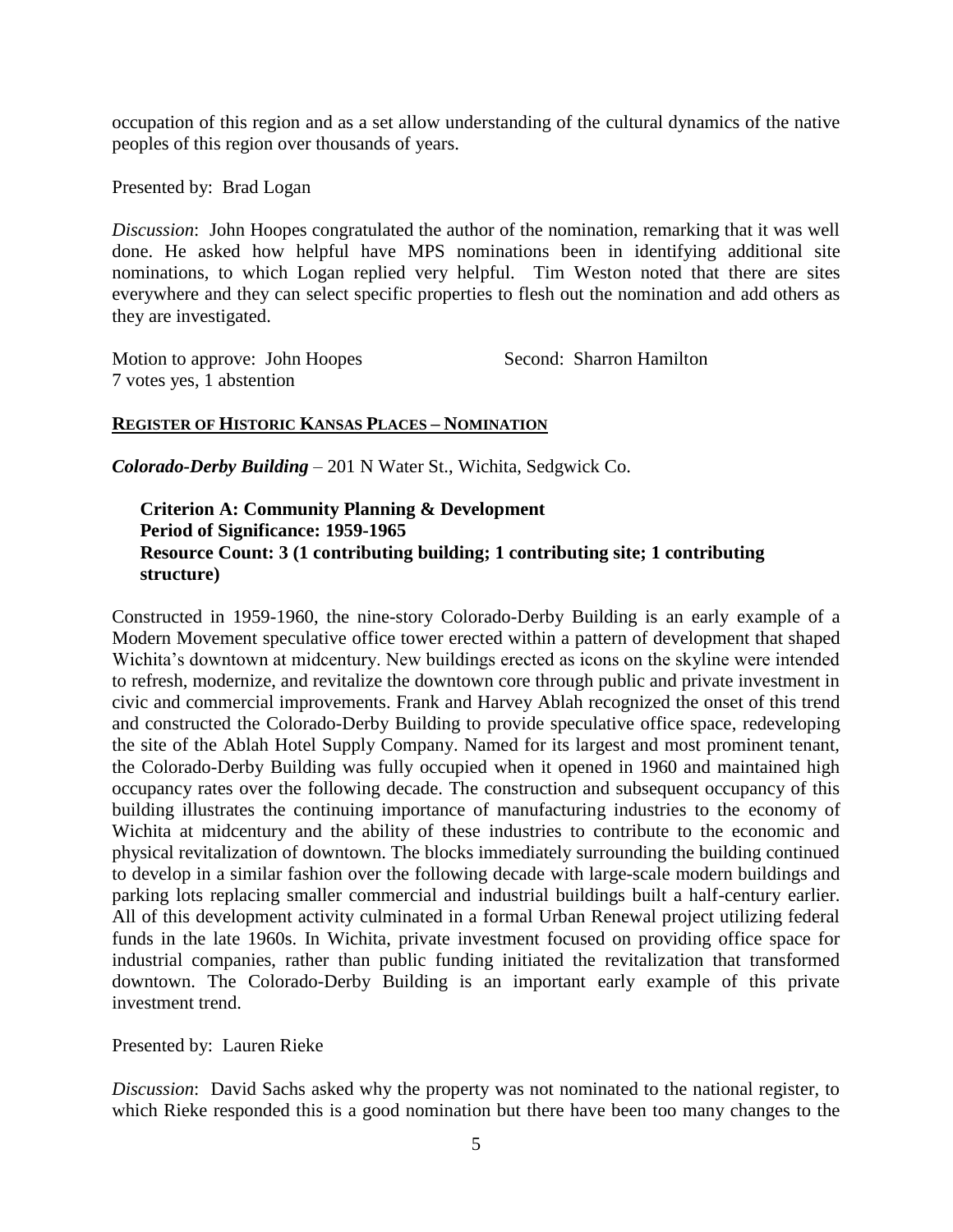occupation of this region and as a set allow understanding of the cultural dynamics of the native peoples of this region over thousands of years.

Presented by: Brad Logan

*Discussion*: John Hoopes congratulated the author of the nomination, remarking that it was well done. He asked how helpful have MPS nominations been in identifying additional site nominations, to which Logan replied very helpful. Tim Weston noted that there are sites everywhere and they can select specific properties to flesh out the nomination and add others as they are investigated.

Motion to approve: John Hoopes Second: Sharron Hamilton 7 votes yes, 1 abstention

## **REGISTER OF HISTORIC KANSAS PLACES – NOMINATION**

*Colorado-Derby Building* – 201 N Water St., Wichita, Sedgwick Co.

## **Criterion A: Community Planning & Development Period of Significance: 1959-1965 Resource Count: 3 (1 contributing building; 1 contributing site; 1 contributing structure)**

Constructed in 1959-1960, the nine-story Colorado-Derby Building is an early example of a Modern Movement speculative office tower erected within a pattern of development that shaped Wichita's downtown at midcentury. New buildings erected as icons on the skyline were intended to refresh, modernize, and revitalize the downtown core through public and private investment in civic and commercial improvements. Frank and Harvey Ablah recognized the onset of this trend and constructed the Colorado-Derby Building to provide speculative office space, redeveloping the site of the Ablah Hotel Supply Company. Named for its largest and most prominent tenant, the Colorado-Derby Building was fully occupied when it opened in 1960 and maintained high occupancy rates over the following decade. The construction and subsequent occupancy of this building illustrates the continuing importance of manufacturing industries to the economy of Wichita at midcentury and the ability of these industries to contribute to the economic and physical revitalization of downtown. The blocks immediately surrounding the building continued to develop in a similar fashion over the following decade with large-scale modern buildings and parking lots replacing smaller commercial and industrial buildings built a half-century earlier. All of this development activity culminated in a formal Urban Renewal project utilizing federal funds in the late 1960s. In Wichita, private investment focused on providing office space for industrial companies, rather than public funding initiated the revitalization that transformed downtown. The Colorado-Derby Building is an important early example of this private investment trend.

Presented by: Lauren Rieke

*Discussion*: David Sachs asked why the property was not nominated to the national register, to which Rieke responded this is a good nomination but there have been too many changes to the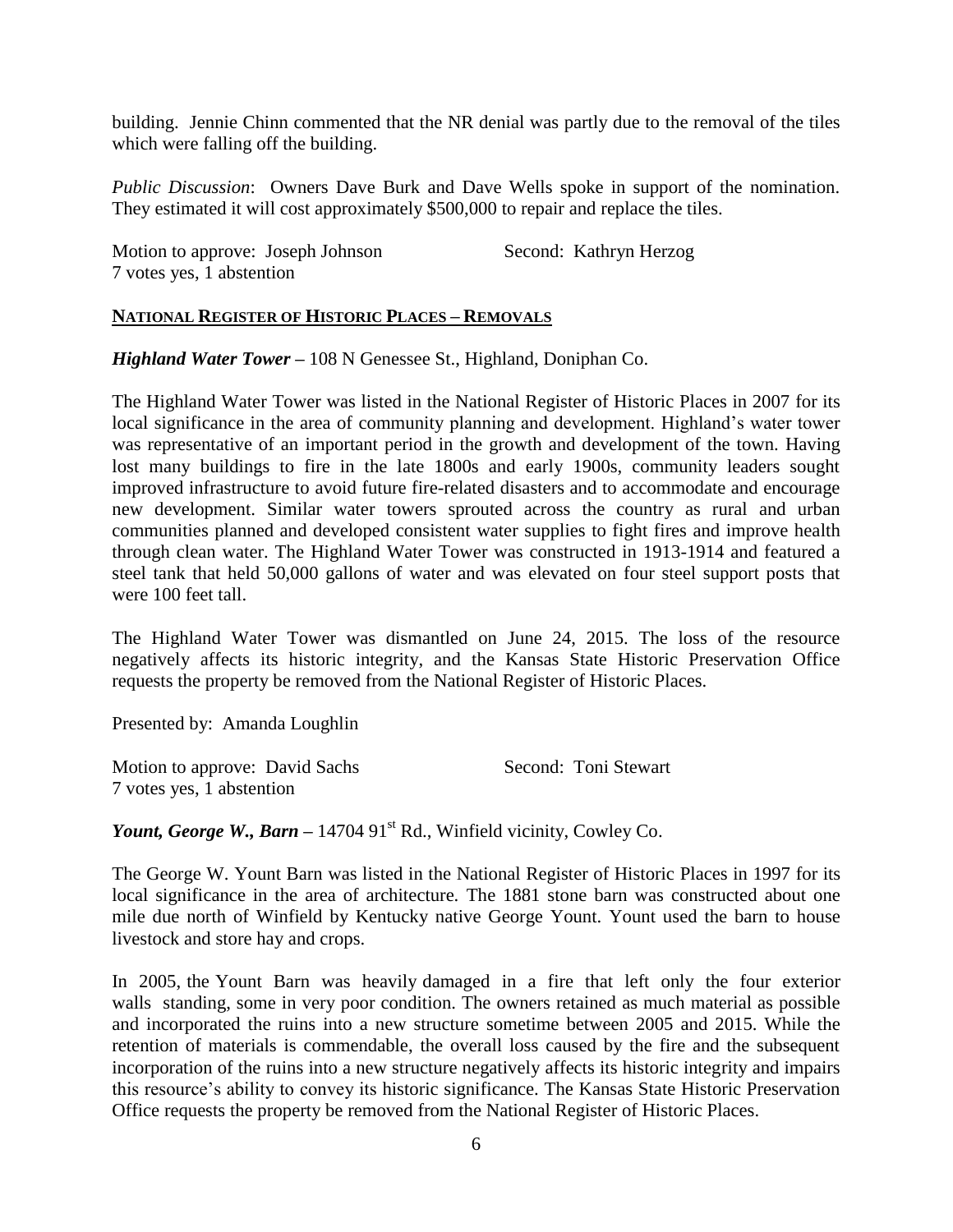building. Jennie Chinn commented that the NR denial was partly due to the removal of the tiles which were falling off the building.

*Public Discussion*: Owners Dave Burk and Dave Wells spoke in support of the nomination. They estimated it will cost approximately \$500,000 to repair and replace the tiles.

| Motion to approve: Joseph Johnson | Second: Kathryn Herzog |
|-----------------------------------|------------------------|
| 7 votes yes, 1 abstention         |                        |

## **NATIONAL REGISTER OF HISTORIC PLACES – REMOVALS**

*Highland Water Tower –* 108 N Genessee St., Highland, Doniphan Co.

The Highland Water Tower was listed in the National Register of Historic Places in 2007 for its local significance in the area of community planning and development. Highland's water tower was representative of an important period in the growth and development of the town. Having lost many buildings to fire in the late 1800s and early 1900s, community leaders sought improved infrastructure to avoid future fire-related disasters and to accommodate and encourage new development. Similar water towers sprouted across the country as rural and urban communities planned and developed consistent water supplies to fight fires and improve health through clean water. The Highland Water Tower was constructed in 1913-1914 and featured a steel tank that held 50,000 gallons of water and was elevated on four steel support posts that were 100 feet tall.

The Highland Water Tower was dismantled on June 24, 2015. The loss of the resource negatively affects its historic integrity, and the Kansas State Historic Preservation Office requests the property be removed from the National Register of Historic Places.

Presented by: Amanda Loughlin

| Motion to approve: David Sachs | Second: Toni Stewart |
|--------------------------------|----------------------|
| 7 votes yes, 1 abstention      |                      |

*Yount, George W., Barn –* 14704 91<sup>st</sup> Rd., Winfield vicinity, Cowley Co.

The George W. Yount Barn was listed in the National Register of Historic Places in 1997 for its local significance in the area of architecture. The 1881 stone barn was constructed about one mile due north of Winfield by Kentucky native George Yount. Yount used the barn to house livestock and store hay and crops.

In 2005, the Yount Barn was heavily damaged in a fire that left only the four exterior walls standing, some in very poor condition. The owners retained as much material as possible and incorporated the ruins into a new structure sometime between 2005 and 2015. While the retention of materials is commendable, the overall loss caused by the fire and the subsequent incorporation of the ruins into a new structure negatively affects its historic integrity and impairs this resource's ability to convey its historic significance. The Kansas State Historic Preservation Office requests the property be removed from the National Register of Historic Places.